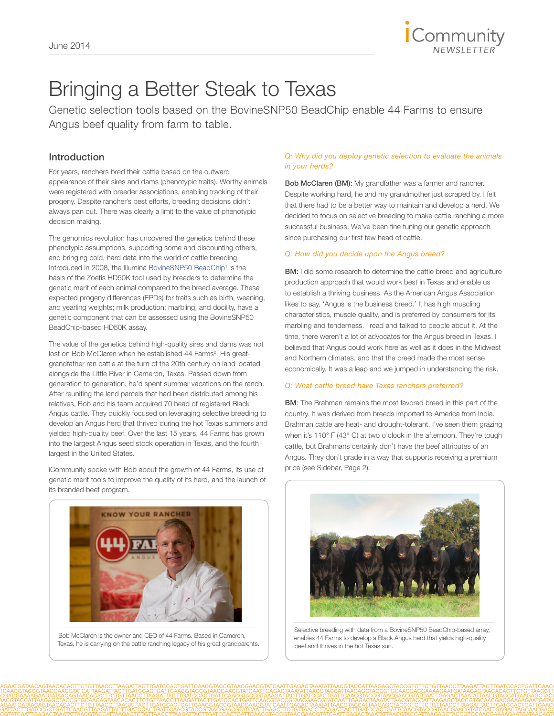

## Bringing a Better Steak to Texas

Genetic selection tools based on the BovineSNP50 BeadChip enable 44 Farms to ensure Angus beef quality from farm to table.

### Introduction

For years, ranchers bred their cattle based on the outward appearance of their sires and dams (phenotypic traits). Worthy animals were registered with breeder associations, enabling tracking of their progeny. Despite rancher's best efforts, breeding decisions didn't always pan out. There was clearly a limit to the value of phenotypic decision making.

The genomics revolution has uncovered the genetics behind these phenotypic assumptions, supporting some and discounting others, and bringing cold, hard data into the world of cattle breeding. Introduced in 2008, the Illumina BovineSNP50 BeadChip<sup>1</sup> is the basis of the Zoetis HD50K tool used by breeders to determine the genetic merit of each animal compared to the breed average. These expected progeny differences (EPDs) for traits such as birth, weaning, and yearling weights; milk production; marbling; and docility, have a genetic component that can be assessed using the BovineSNP50 BeadChip-based HD50K assay.

The value of the genetics behind high-quality sires and dams was not lost on Bob McClaren when he established 44 Farms<sup>2</sup>. His greatgrandfather ran cattle at the turn of the 20th century on land located alongside the Little River in Cameron, Texas. Passed down from generation to generation, he'd spent summer vacations on the ranch. After reuniting the land parcels that had been distributed among his relatives, Bob and his team acquired 70 head of registered Black Angus cattle. They quickly focused on leveraging selective breeding to develop an Angus herd that thrived during the hot Texas summers and yielded high-quality beef. Over the last 15 years, 44 Farms has grown into the largest Angus seed stock operation in Texas, and the fourth largest in the United States.

iCommunity spoke with Bob about the growth of 44 Farms, its use of genetic merit tools to improve the quality of its herd, and the launch of its branded beef program.



Bob McClaren is the owner and CEO of 44 Farms. Based in Cameron, Texas, he is carrying on the cattle ranching legacy of his great grandparents.

#### *Q: Why did you deploy genetic selection to evaluate the animals in your herds?*

Bob McClaren (BM): My grandfather was a farmer and rancher. Despite working hard, he and my grandmother just scraped by. I felt that there had to be a better way to maintain and develop a herd. We decided to focus on selective breeding to make cattle ranching a more successful business. We've been fine tuning our genetic approach since purchasing our first few head of cattle.

#### *Q: How did you decide upon the Angus breed?*

**BM:** I did some research to determine the cattle breed and agriculture production approach that would work best in Texas and enable us to establish a thriving business. As the American Angus Association likes to say, 'Angus is the business breed.' It has high muscling characteristics, muscle quality, and is preferred by consumers for its marbling and tenderness. I read and talked to people about it. At the time, there weren't a lot of advocates for the Angus breed in Texas. I believed that Angus could work here as well as it does in the Midwest and Northern climates, and that the breed made the most sense economically. It was a leap and we jumped in understanding the risk.

#### *Q: What cattle breed have Texas ranchers preferred?*

**BM:** The Brahman remains the most favored breed in this part of the country. It was derived from breeds imported to America from India. Brahman cattle are heat- and drought-tolerant. I've seen them grazing when it's 110° F (43° C) at two o'clock in the afternoon. They're tough cattle, but Brahmans certainly don't have the beef attributes of an Angus. They don't grade in a way that supports receiving a premium price (see Sidebar, Page 2).



Selective breeding with data from a BovineSNP50 BeadChip-based array, enables 44 Farms to develop a Black Angus herd that yields high-quality beef and thrives in the hot Texas sun.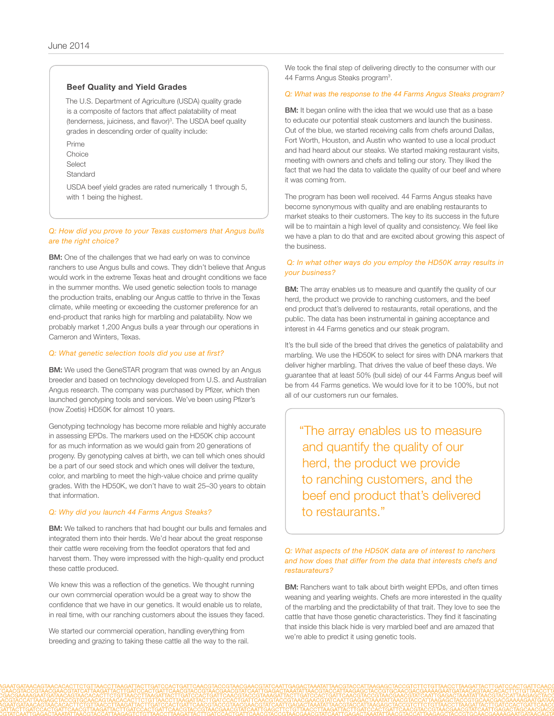#### Beef Quality and Yield Grades

The U.S. Department of Agriculture (USDA) quality grade is a composite of factors that affect palatability of meat (tenderness, juiciness, and flavor)<sup>3</sup>. The USDA beef quality grades in descending order of quality include:

Prime Choice **Select Standard** 

USDA beef yield grades are rated numerically 1 through 5, with 1 being the highest.

#### *Q: How did you prove to your Texas customers that Angus bulls are the right choice?*

**BM:** One of the challenges that we had early on was to convince ranchers to use Angus bulls and cows. They didn't believe that Angus would work in the extreme Texas heat and drought conditions we face in the summer months. We used genetic selection tools to manage the production traits, enabling our Angus cattle to thrive in the Texas climate, while meeting or exceeding the customer preference for an end-product that ranks high for marbling and palatability. Now we probably market 1,200 Angus bulls a year through our operations in Cameron and Winters, Texas.

#### *Q: What genetic selection tools did you use at first?*

**BM:** We used the GeneSTAR program that was owned by an Angus breeder and based on technology developed from U.S. and Australian Angus research. The company was purchased by Pfizer, which then launched genotyping tools and services. We've been using Pfizer's (now Zoetis) HD50K for almost 10 years.

Genotyping technology has become more reliable and highly accurate in assessing EPDs. The markers used on the HD50K chip account for as much information as we would gain from 20 generations of progeny. By genotyping calves at birth, we can tell which ones should be a part of our seed stock and which ones will deliver the texture, color, and marbling to meet the high-value choice and prime quality grades. With the HD50K, we don't have to wait 25–30 years to obtain that information.

#### *Q: Why did you launch 44 Farms Angus Steaks?*

**BM:** We talked to ranchers that had bought our bulls and females and integrated them into their herds. We'd hear about the great response their cattle were receiving from the feedlot operators that fed and harvest them. They were impressed with the high-quality end product these cattle produced.

We knew this was a reflection of the genetics. We thought running our own commercial operation would be a great way to show the confidence that we have in our genetics. It would enable us to relate, in real time, with our ranching customers about the issues they faced.

We started our commercial operation, handling everything from breeding and grazing to taking these cattle all the way to the rail. We took the final step of delivering directly to the consumer with our 44 Farms Angus Steaks program<sup>3</sup>.

#### *Q: What was the response to the 44 Farms Angus Steaks program?*

**BM:** It began online with the idea that we would use that as a base to educate our potential steak customers and launch the business. Out of the blue, we started receiving calls from chefs around Dallas, Fort Worth, Houston, and Austin who wanted to use a local product and had heard about our steaks. We started making restaurant visits, meeting with owners and chefs and telling our story. They liked the fact that we had the data to validate the quality of our beef and where it was coming from.

The program has been well received. 44 Farms Angus steaks have become synonymous with quality and are enabling restaurants to market steaks to their customers. The key to its success in the future will be to maintain a high level of quality and consistency. We feel like we have a plan to do that and are excited about growing this aspect of the business.

#### *Q: In what other ways do you employ the HD50K array results in your business?*

**BM:** The array enables us to measure and quantify the quality of our herd, the product we provide to ranching customers, and the beef end product that's delivered to restaurants, retail operations, and the public. The data has been instrumental in gaining acceptance and interest in 44 Farms genetics and our steak program.

It's the bull side of the breed that drives the genetics of palatability and marbling. We use the HD50K to select for sires with DNA markers that deliver higher marbling. That drives the value of beef these days. We guarantee that at least 50% (bull side) of our 44 Farms Angus beef will be from 44 Farms genetics. We would love for it to be 100%, but not all of our customers run our females.

"The array enables us to measure and quantify the quality of our herd, the product we provide to ranching customers, and the beef end product that's delivered to restaurants."

#### *Q: What aspects of the HD50K data are of interest to ranchers and how does that differ from the data that interests chefs and restaurateurs?*

**BM:** Ranchers want to talk about birth weight EPDs, and often times weaning and yearling weights. Chefs are more interested in the quality of the marbling and the predictability of that trait. They love to see the cattle that have those genetic characteristics. They find it fascinating that inside this black hide is very marbled beef and are amazed that we're able to predict it using genetic tools.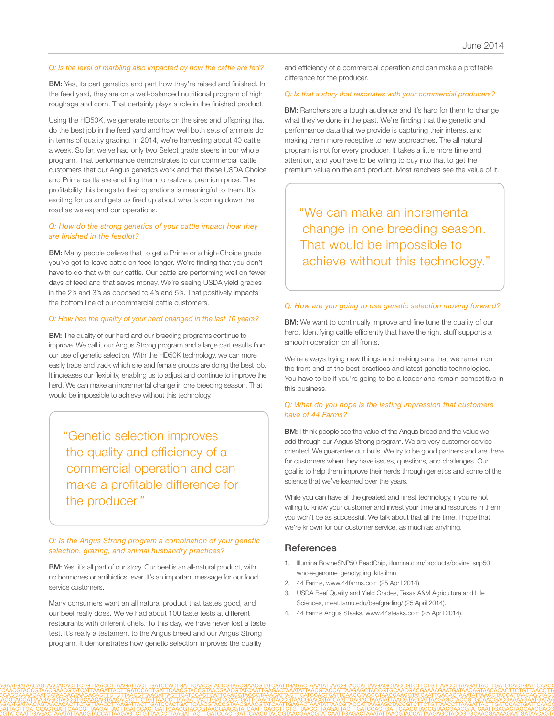#### *Q: Is the level of marbling also impacted by how the cattle are fed?*

BM: Yes, its part genetics and part how they're raised and finished. In the feed yard, they are on a well-balanced nutritional program of high roughage and corn. That certainly plays a role in the finished product.

Using the HD50K, we generate reports on the sires and offspring that do the best job in the feed yard and how well both sets of animals do in terms of quality grading. In 2014, we're harvesting about 40 cattle a week. So far, we've had only two Select grade steers in our whole program. That performance demonstrates to our commercial cattle customers that our Angus genetics work and that these USDA Choice and Prime cattle are enabling them to realize a premium price. The profitability this brings to their operations is meaningful to them. It's exciting for us and gets us fired up about what's coming down the road as we expand our operations.

#### *Q: How do the strong genetics of your cattle impact how they are finished in the feedlot?*

**BM:** Many people believe that to get a Prime or a high-Choice grade you've got to leave cattle on feed longer. We're finding that you don't have to do that with our cattle. Our cattle are performing well on fewer days of feed and that saves money. We're seeing USDA yield grades in the 2's and 3's as opposed to 4's and 5's. That positively impacts the bottom line of our commercial cattle customers.

#### *Q: How has the quality of your herd changed in the last 10 years?*

**BM:** The quality of our herd and our breeding programs continue to improve. We call it our Angus Strong program and a large part results from our use of genetic selection. With the HD50K technology, we can more easily trace and track which sire and female groups are doing the best job. It increases our flexibility, enabling us to adjust and continue to improve the herd. We can make an incremental change in one breeding season. That would be impossible to achieve without this technology.

"Genetic selection improves the quality and efficiency of a commercial operation and can make a profitable difference for the producer."

*Q: Is the Angus Strong program a combination of your genetic selection, grazing, and animal husbandry practices?*

**BM:** Yes, it's all part of our story. Our beef is an all-natural product, with no hormones or antibiotics, ever. It's an important message for our food service customers.

Many consumers want an all natural product that tastes good, and our beef really does. We've had about 100 taste tests at different restaurants with different chefs. To this day, we have never lost a taste test. It's really a testament to the Angus breed and our Angus Strong program. It demonstrates how genetic selection improves the quality

and efficiency of a commercial operation and can make a profitable difference for the producer.

#### *Q: Is that a story that resonates with your commercial producers?*

**BM:** Ranchers are a tough audience and it's hard for them to change what they've done in the past. We're finding that the genetic and performance data that we provide is capturing their interest and making them more receptive to new approaches. The all natural program is not for every producer. It takes a little more time and attention, and you have to be willing to buy into that to get the premium value on the end product. Most ranchers see the value of it.

"We can make an incremental change in one breeding season. That would be impossible to achieve without this technology."

#### *Q: How are you going to use genetic selection moving forward?*

**BM:** We want to continually improve and fine tune the quality of our herd. Identifying cattle efficiently that have the right stuff supports a smooth operation on all fronts.

We're always trying new things and making sure that we remain on the front end of the best practices and latest genetic technologies. You have to be if you're going to be a leader and remain competitive in this business.

#### *Q: What do you hope is the lasting impression that customers have of 44 Farms?*

**BM:** I think people see the value of the Angus breed and the value we add through our Angus Strong program. We are very customer service oriented. We guarantee our bulls. We try to be good partners and are there for customers when they have issues, questions, and challenges. Our goal is to help them improve their herds through genetics and some of the science that we've learned over the years.

While you can have all the greatest and finest technology, if you're not willing to know your customer and invest your time and resources in them you won't be as successful. We talk about that all the time. I hope that we're known for our customer service, as much as anything.

#### **References**

- 1. [Illumina BovineSNP50 BeadChip, illumina.com/products/bovine\\_snp50\\_](http://www.illumina.com/products/bovine_snp50_whole-genome_genotyping_kits.ilmn) [whole-genome\\_genotyping\\_kits.ilm](http://www.illumina.com/products/bovine_snp50_whole-genome_genotyping_kits.ilmn)n
- 2. [44 Farms, www.44farms.com \(25 April 2014\).](http://www.44farms.com/)
- 3. [USDA Beef Quality and Yield Grades, Texas A&M Agriculture and Life](http://meat.tamu.edu/beefgrading/)  [Sciences, meat.tamu.edu/beefgrading/ \(25 April 2014\).](http://meat.tamu.edu/beefgrading/)
- 4. [44 Farms Angus Steaks, www.44steaks.com \(25 April 2014\).](http://www.44steaks.com/)